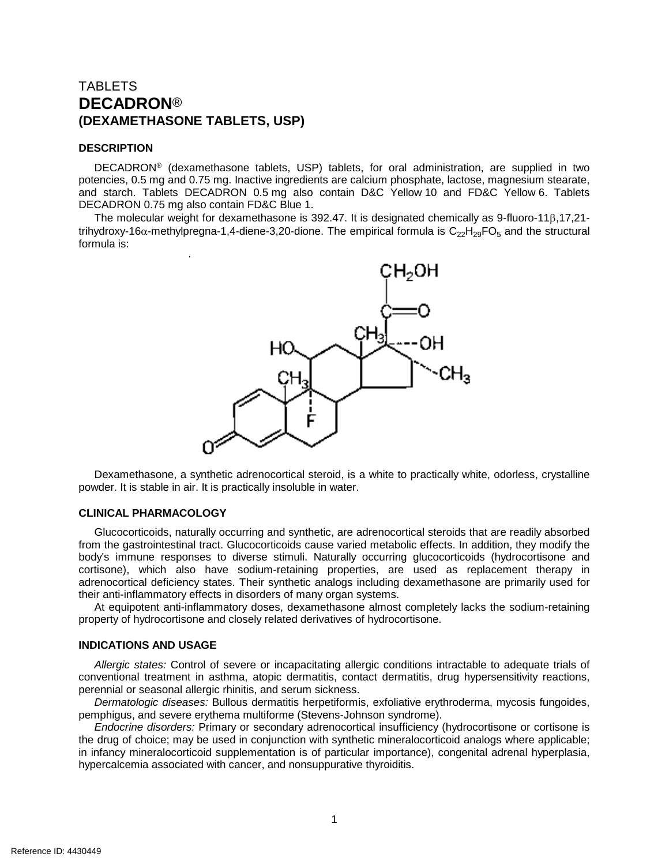# TABLETS **DECADRON**® **(DEXAMETHASONE TABLETS, USP)**

### **DESCRIPTION**

 potencies, 0.5 mg and 0.75 mg. Inactive ingredients are calcium phosphate, lactose, magnesium stearate, and starch. Tablets DECADRON 0.5 mg also contain D&C Yellow 10 and FD&C Yellow 6. Tablets DECADRON 0.75 mg also contain FD&C Blue 1. DECADRON® (dexamethasone tablets, USP) tablets, for oral administration, are supplied in two

 The molecular weight for dexamethasone is 392.47. It is designated chemically as 9-fluoro-11β,17,21 trihydroxy-16 $\alpha$ -methylpregna-1,4-diene-3,20-dione. The empirical formula is  $\rm C_{22}H_{29}$ FO<sub>5</sub> and the structural formula is:



 Dexamethasone, a synthetic adrenocortical steroid, is a white to practically white, odorless, crystalline powder. It is stable in air. It is practically insoluble in water.

### **CLINICAL PHARMACOLOGY**

 cortisone), which also have sodium-retaining properties, are used as replacement therapy in adrenocortical deficiency states. Their synthetic analogs including dexamethasone are primarily used for Glucocorticoids, naturally occurring and synthetic, are adrenocortical steroids that are readily absorbed from the gastrointestinal tract. Glucocorticoids cause varied metabolic effects. In addition, they modify the body's immune responses to diverse stimuli. Naturally occurring glucocorticoids (hydrocortisone and their anti-inflammatory effects in disorders of many organ systems.

 At equipotent anti-inflammatory doses, dexamethasone almost completely lacks the sodium-retaining property of hydrocortisone and closely related derivatives of hydrocortisone.

#### **INDICATIONS AND USAGE**

 *Allergic states:* Control of severe or incapacitating allergic conditions intractable to adequate trials of conventional treatment in asthma, atopic dermatitis, contact dermatitis, drug hypersensitivity reactions, perennial or seasonal allergic rhinitis, and serum sickness.

 *Dermatologic diseases:* Bullous dermatitis herpetiformis, exfoliative erythroderma, mycosis fungoides, pemphigus, and severe erythema multiforme (Stevens-Johnson syndrome).

 *Endocrine disorders:* Primary or secondary adrenocortical insufficiency (hydrocortisone or cortisone is in infancy mineralocorticoid supplementation is of particular importance), congenital adrenal hyperplasia, the drug of choice; may be used in conjunction with synthetic mineralocorticoid analogs where applicable; hypercalcemia associated with cancer, and nonsuppurative thyroiditis.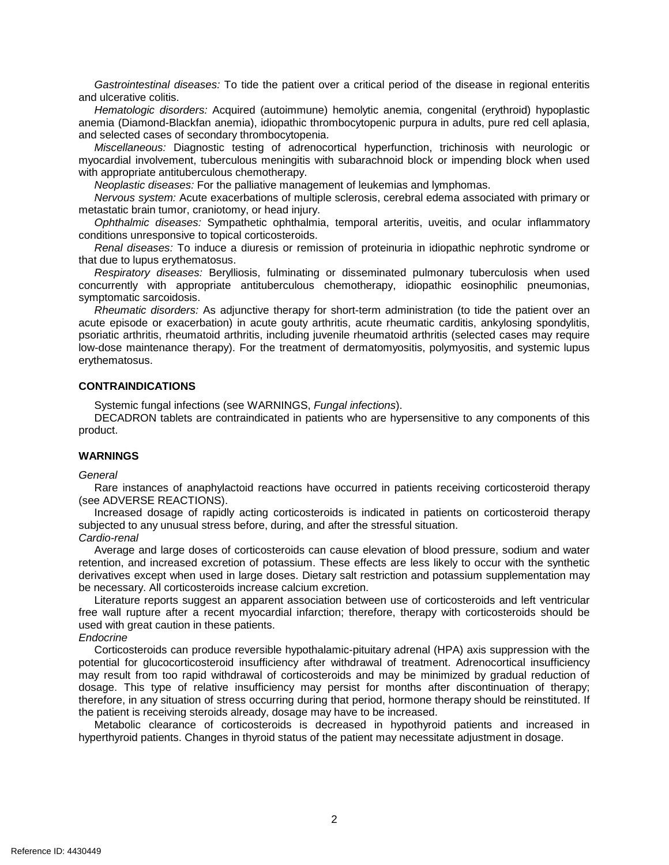*Gastrointestinal diseases:* To tide the patient over a critical period of the disease in regional enteritis and ulcerative colitis.

 *Hematologic disorders:* Acquired (autoimmune) hemolytic anemia, congenital (erythroid) hypoplastic anemia (Diamond-Blackfan anemia), idiopathic thrombocytopenic purpura in adults, pure red cell aplasia, and selected cases of secondary thrombocytopenia.

 *Miscellaneous:* Diagnostic testing of adrenocortical hyperfunction, trichinosis with neurologic or myocardial involvement, tuberculous meningitis with subarachnoid block or impending block when used with appropriate antituberculous chemotherapy.

*Neoplastic diseases:* For the palliative management of leukemias and lymphomas.

*Nervous system:* Acute exacerbations of multiple sclerosis, cerebral edema associated with primary or metastatic brain tumor, craniotomy, or head injury.

*Ophthalmic diseases:* Sympathetic ophthalmia, temporal arteritis, uveitis, and ocular inflammatory conditions unresponsive to topical corticosteroids.

 *Renal diseases:* To induce a diuresis or remission of proteinuria in idiopathic nephrotic syndrome or that due to lupus erythematosus.

 *Respiratory diseases:* Berylliosis, fulminating or disseminated pulmonary tuberculosis when used concurrently with appropriate antituberculous chemotherapy, idiopathic eosinophilic pneumonias, symptomatic sarcoidosis.

 acute episode or exacerbation) in acute gouty arthritis, acute rheumatic carditis, ankylosing spondylitis, psoriatic arthritis, rheumatoid arthritis, including juvenile rheumatoid arthritis (selected cases may require low-dose maintenance therapy). For the treatment of dermatomyositis, polymyositis, and systemic lupus *Rheumatic disorders:* As adjunctive therapy for short-term administration (to tide the patient over an erythematosus.

### **CONTRAINDICATIONS**

Systemic fungal infections (see WARNINGS, *Fungal infections*).

 DECADRON tablets are contraindicated in patients who are hypersensitive to any components of this product.

# **WARNINGS**

### *General*

 Rare instances of anaphylactoid reactions have occurred in patients receiving corticosteroid therapy (see ADVERSE REACTIONS).

Increased dosage of rapidly acting corticosteroids is indicated in patients on corticosteroid therapy subjected to any unusual stress before, during, and after the stressful situation. *Cardio-renal* 

 Average and large doses of corticosteroids can cause elevation of blood pressure, sodium and water retention, and increased excretion of potassium. These effects are less likely to occur with the synthetic derivatives except when used in large doses. Dietary salt restriction and potassium supplementation may be necessary. All corticosteroids increase calcium excretion.

 Literature reports suggest an apparent association between use of corticosteroids and left ventricular free wall rupture after a recent myocardial infarction; therefore, therapy with corticosteroids should be used with great caution in these patients.

# *Endocrine*

 Corticosteroids can produce reversible hypothalamic-pituitary adrenal (HPA) axis suppression with the potential for glucocorticosteroid insufficiency after withdrawal of treatment. Adrenocortical insufficiency dosage. This type of relative insufficiency may persist for months after discontinuation of therapy; may result from too rapid withdrawal of corticosteroids and may be minimized by gradual reduction of therefore, in any situation of stress occurring during that period, hormone therapy should be reinstituted. If the patient is receiving steroids already, dosage may have to be increased.

Metabolic clearance of corticosteroids is decreased in hypothyroid patients and increased in hyperthyroid patients. Changes in thyroid status of the patient may necessitate adjustment in dosage.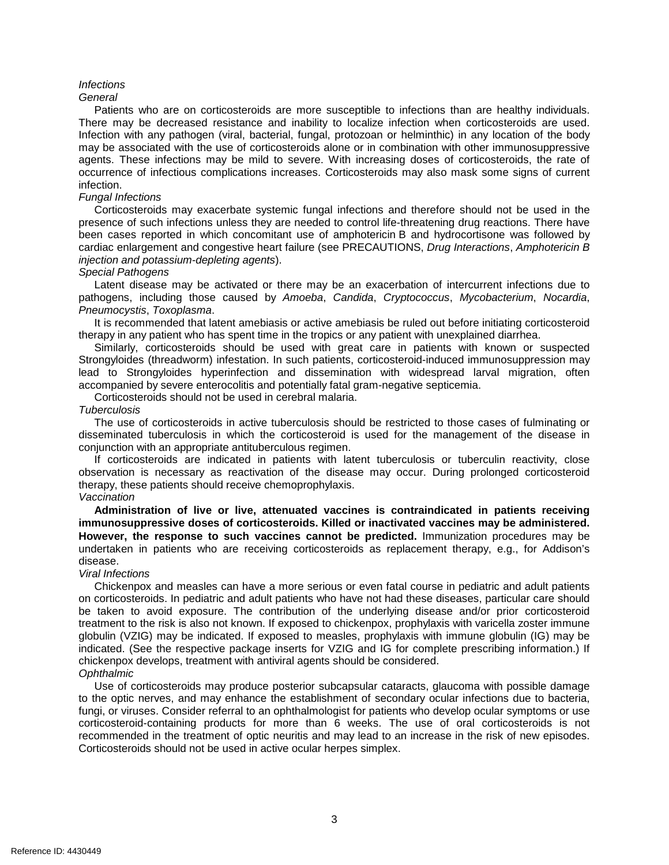### *Infections*

### *General*

 Infection with any pathogen (viral, bacterial, fungal, protozoan or helminthic) in any location of the body may be associated with the use of corticosteroids alone or in combination with other immunosuppressive occurrence of infectious complications increases. Corticosteroids may also mask some signs of current Patients who are on corticosteroids are more susceptible to infections than are healthy individuals. There may be decreased resistance and inability to localize infection when corticosteroids are used. agents. These infections may be mild to severe. With increasing doses of corticosteroids, the rate of infection.

### *Fungal Infections*

 presence of such infections unless they are needed to control life-threatening drug reactions. There have Corticosteroids may exacerbate systemic fungal infections and therefore should not be used in the been cases reported in which concomitant use of amphotericin B and hydrocortisone was followed by cardiac enlargement and congestive heart failure (see PRECAUTIONS, *Drug Interactions*, *Amphotericin B injection and potassium-depleting agents*).

### *Special Pathogens*

Latent disease may be activated or there may be an exacerbation of intercurrent infections due to pathogens, including those caused by *Amoeba*, *Candida*, *Cryptococcus*, *Mycobacterium*, *Nocardia*, *Pneumocystis*, *Toxoplasma*.

It is recommended that latent amebiasis or active amebiasis be ruled out before initiating corticosteroid therapy in any patient who has spent time in the tropics or any patient with unexplained diarrhea.

 Strongyloides (threadworm) infestation. In such patients, corticosteroid-induced immunosuppression may lead to Strongyloides hyperinfection and dissemination with widespread larval migration, often Similarly, corticosteroids should be used with great care in patients with known or suspected accompanied by severe enterocolitis and potentially fatal gram-negative septicemia.

Corticosteroids should not be used in cerebral malaria.

### *Tuberculosis*

 The use of corticosteroids in active tuberculosis should be restricted to those cases of fulminating or disseminated tuberculosis in which the corticosteroid is used for the management of the disease in conjunction with an appropriate antituberculous regimen.

 If corticosteroids are indicated in patients with latent tuberculosis or tuberculin reactivity, close observation is necessary as reactivation of the disease may occur. During prolonged corticosteroid therapy, these patients should receive chemoprophylaxis.

# *Vaccination*

 **Administration of live or live, attenuated vaccines is contraindicated in patients receiving immunosuppressive doses of corticosteroids. Killed or inactivated vaccines may be administered. However, the response to such vaccines cannot be predicted.** Immunization procedures may be undertaken in patients who are receiving corticosteroids as replacement therapy, e.g., for Addison's disease.

### *Viral Infections*

 Chickenpox and measles can have a more serious or even fatal course in pediatric and adult patients be taken to avoid exposure. The contribution of the underlying disease and/or prior corticosteroid globulin (VZIG) may be indicated. If exposed to measles, prophylaxis with immune globulin (IG) may be indicated. (See the respective package inserts for VZIG and IG for complete prescribing information.) If on corticosteroids. In pediatric and adult patients who have not had these diseases, particular care should treatment to the risk is also not known. If exposed to chickenpox, prophylaxis with varicella zoster immune chickenpox develops, treatment with antiviral agents should be considered.

# *Ophthalmic*

 Use of corticosteroids may produce posterior subcapsular cataracts, glaucoma with possible damage to the optic nerves, and may enhance the establishment of secondary ocular infections due to bacteria, recommended in the treatment of optic neuritis and may lead to an increase in the risk of new episodes. fungi, or viruses. Consider referral to an ophthalmologist for patients who develop ocular symptoms or use corticosteroid-containing products for more than 6 weeks. The use of oral corticosteroids is not Corticosteroids should not be used in active ocular herpes simplex.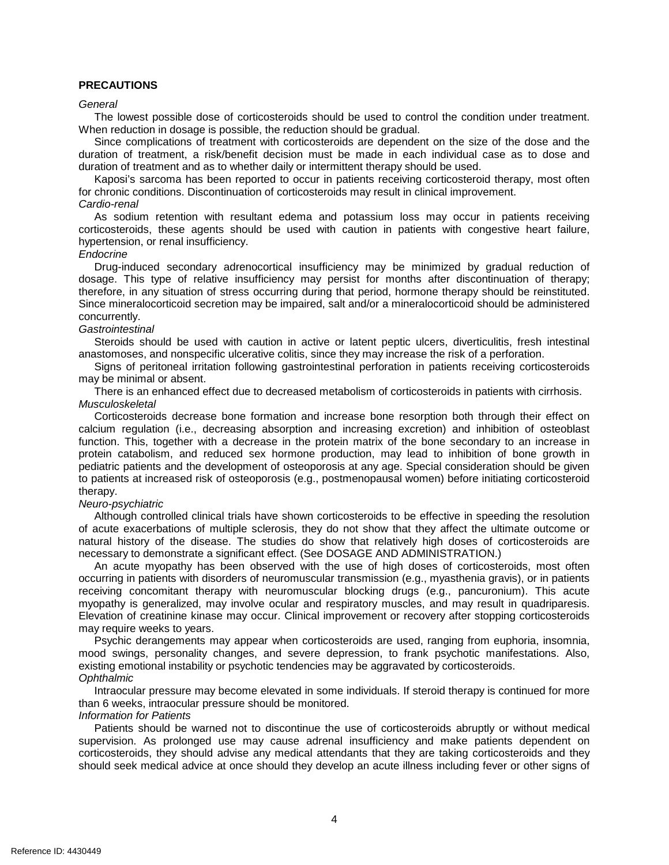# **PRECAUTIONS**

### *General*

The lowest possible dose of corticosteroids should be used to control the condition under treatment. When reduction in dosage is possible, the reduction should be gradual.

 Since complications of treatment with corticosteroids are dependent on the size of the dose and the duration of treatment, a risk/benefit decision must be made in each individual case as to dose and duration of treatment and as to whether daily or intermittent therapy should be used.

 Kaposi's sarcoma has been reported to occur in patients receiving corticosteroid therapy, most often for chronic conditions. Discontinuation of corticosteroids may result in clinical improvement.

# *Cardio-renal*

 As sodium retention with resultant edema and potassium loss may occur in patients receiving corticosteroids, these agents should be used with caution in patients with congestive heart failure, hypertension, or renal insufficiency.

### *Endocrine*

 Drug-induced secondary adrenocortical insufficiency may be minimized by gradual reduction of dosage. This type of relative insufficiency may persist for months after discontinuation of therapy; therefore, in any situation of stress occurring during that period, hormone therapy should be reinstituted. Since mineralocorticoid secretion may be impaired, salt and/or a mineralocorticoid should be administered concurrently.

#### *Gastrointestinal*

Steroids should be used with caution in active or latent peptic ulcers, diverticulitis, fresh intestinal anastomoses, and nonspecific ulcerative colitis, since they may increase the risk of a perforation.

Signs of peritoneal irritation following gastrointestinal perforation in patients receiving corticosteroids may be minimal or absent.

There is an enhanced effect due to decreased metabolism of corticosteroids in patients with cirrhosis. *Musculoskeletal* 

 function. This, together with a decrease in the protein matrix of the bone secondary to an increase in pediatric patients and the development of osteoporosis at any age. Special consideration should be given Corticosteroids decrease bone formation and increase bone resorption both through their effect on calcium regulation (i.e., decreasing absorption and increasing excretion) and inhibition of osteoblast protein catabolism, and reduced sex hormone production, may lead to inhibition of bone growth in to patients at increased risk of osteoporosis (e.g., postmenopausal women) before initiating corticosteroid therapy.

### *Neuro-psychiatric*

 Although controlled clinical trials have shown corticosteroids to be effective in speeding the resolution natural history of the disease. The studies do show that relatively high doses of corticosteroids are of acute exacerbations of multiple sclerosis, they do not show that they affect the ultimate outcome or necessary to demonstrate a significant effect. (See DOSAGE AND ADMINISTRATION.)

 An acute myopathy has been observed with the use of high doses of corticosteroids, most often receiving concomitant therapy with neuromuscular blocking drugs (e.g., pancuronium). This acute Elevation of creatinine kinase may occur. Clinical improvement or recovery after stopping corticosteroids occurring in patients with disorders of neuromuscular transmission (e.g., myasthenia gravis), or in patients myopathy is generalized, may involve ocular and respiratory muscles, and may result in quadriparesis. may require weeks to years.

 Psychic derangements may appear when corticosteroids are used, ranging from euphoria, insomnia, mood swings, personality changes, and severe depression, to frank psychotic manifestations. Also, existing emotional instability or psychotic tendencies may be aggravated by corticosteroids. *Ophthalmic* 

Intraocular pressure may become elevated in some individuals. If steroid therapy is continued for more than 6 weeks, intraocular pressure should be monitored.

### *Information for Patients*

 supervision. As prolonged use may cause adrenal insufficiency and make patients dependent on corticosteroids, they should advise any medical attendants that they are taking corticosteroids and they should seek medical advice at once should they develop an acute illness including fever or other signs of Patients should be warned not to discontinue the use of corticosteroids abruptly or without medical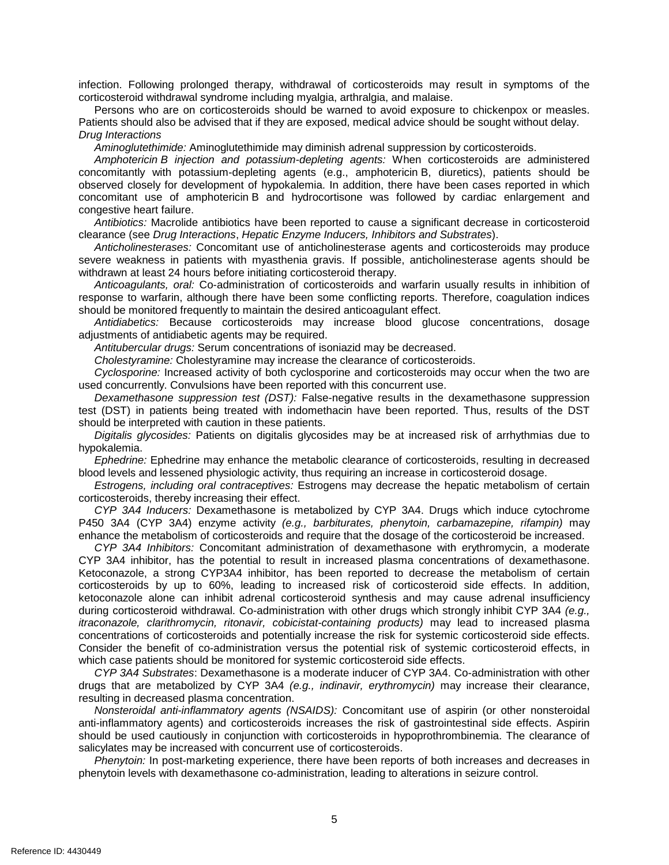infection. Following prolonged therapy, withdrawal of corticosteroids may result in symptoms of the corticosteroid withdrawal syndrome including myalgia, arthralgia, and malaise.

Persons who are on corticosteroids should be warned to avoid exposure to chickenpox or measles. Patients should also be advised that if they are exposed, medical advice should be sought without delay. *Drug Interactions* 

*Aminoglutethimide:* Aminoglutethimide may diminish adrenal suppression by corticosteroids.

*Amphotericin B injection and potassium-depleting agents:* When corticosteroids are administered concomitantly with potassium-depleting agents (e.g., amphotericin B, diuretics), patients should be observed closely for development of hypokalemia. In addition, there have been cases reported in which concomitant use of amphotericin B and hydrocortisone was followed by cardiac enlargement and congestive heart failure.

*Antibiotics:* Macrolide antibiotics have been reported to cause a significant decrease in corticosteroid clearance (see *Drug Interactions*, *Hepatic Enzyme Inducers, Inhibitors and Substrates*).

 *Anticholinesterases:* Concomitant use of anticholinesterase agents and corticosteroids may produce severe weakness in patients with myasthenia gravis. If possible, anticholinesterase agents should be withdrawn at least 24 hours before initiating corticosteroid therapy.

 response to warfarin, although there have been some conflicting reports. Therefore, coagulation indices *Anticoagulants, oral:* Co-administration of corticosteroids and warfarin usually results in inhibition of should be monitored frequently to maintain the desired anticoagulant effect.

 *Antidiabetics:* Because corticosteroids may increase blood glucose concentrations, dosage adjustments of antidiabetic agents may be required.

*Antitubercular drugs:* Serum concentrations of isoniazid may be decreased.

*Cholestyramine:* Cholestyramine may increase the clearance of corticosteroids.

 *Cyclosporine:* Increased activity of both cyclosporine and corticosteroids may occur when the two are used concurrently. Convulsions have been reported with this concurrent use.

*Dexamethasone suppression test (DST):* False-negative results in the dexamethasone suppression test (DST) in patients being treated with indomethacin have been reported. Thus, results of the DST should be interpreted with caution in these patients.

 *Digitalis glycosides:* Patients on digitalis glycosides may be at increased risk of arrhythmias due to hypokalemia.

*Ephedrine:* Ephedrine may enhance the metabolic clearance of corticosteroids, resulting in decreased blood levels and lessened physiologic activity, thus requiring an increase in corticosteroid dosage.

 *Estrogens, including oral contraceptives:* Estrogens may decrease the hepatic metabolism of certain corticosteroids, thereby increasing their effect.

 P450 3A4 (CYP 3A4) enzyme activity *(e.g., barbiturates, phenytoin, carbamazepine, rifampin)* may *CYP 3A4 Inducers:* Dexamethasone is metabolized by CYP 3A4. Drugs which induce cytochrome enhance the metabolism of corticosteroids and require that the dosage of the corticosteroid be increased.

 corticosteroids by up to 60%, leading to increased risk of corticosteroid side effects. In addition, during corticosteroid withdrawal. Co-administration with other drugs which strongly inhibit CYP 3A4 *(e.g.,*  concentrations of corticosteroids and potentially increase the risk for systemic corticosteroid side effects. Consider the benefit of co-administration versus the potential risk of systemic corticosteroid effects, in *CYP 3A4 Inhibitors:* Concomitant administration of dexamethasone with erythromycin, a moderate CYP 3A4 inhibitor, has the potential to result in increased plasma concentrations of dexamethasone. Ketoconazole, a strong CYP3A4 inhibitor, has been reported to decrease the metabolism of certain ketoconazole alone can inhibit adrenal corticosteroid synthesis and may cause adrenal insufficiency *itraconazole, clarithromycin, ritonavir, cobicistat-containing products)* may lead to increased plasma which case patients should be monitored for systemic corticosteroid side effects.

 drugs that are metabolized by CYP 3A4 *(e.g., indinavir, erythromycin)* may increase their clearance, *CYP 3A4 Substrates*: Dexamethasone is a moderate inducer of CYP 3A4. Co-administration with other resulting in decreased plasma concentration.

 *Nonsteroidal anti-inflammatory agents (NSAIDS):* Concomitant use of aspirin (or other nonsteroidal anti-inflammatory agents) and corticosteroids increases the risk of gastrointestinal side effects. Aspirin should be used cautiously in conjunction with corticosteroids in hypoprothrombinemia. The clearance of salicylates may be increased with concurrent use of corticosteroids.

 *Phenytoin:* In post-marketing experience, there have been reports of both increases and decreases in phenytoin levels with dexamethasone co-administration, leading to alterations in seizure control.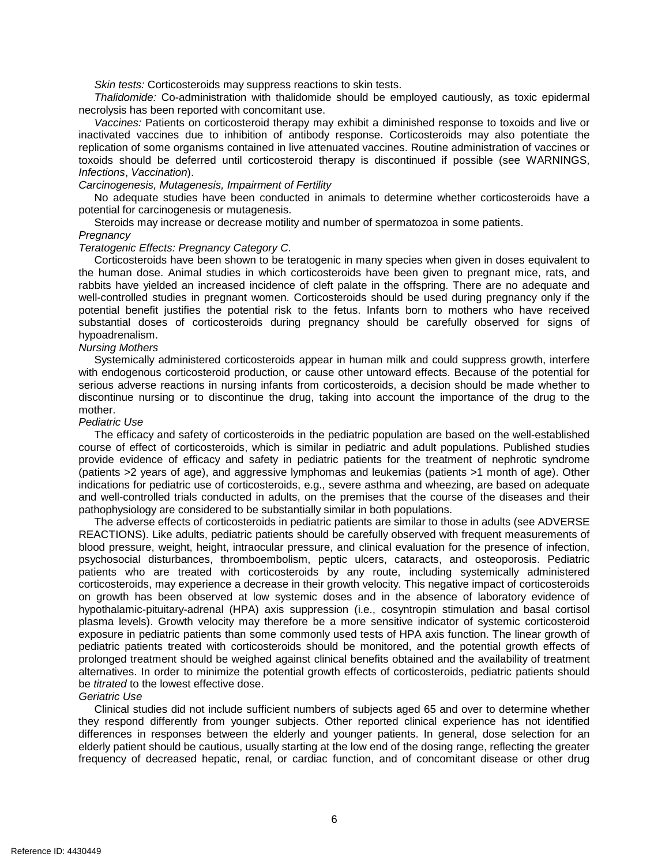*Skin tests:* Corticosteroids may suppress reactions to skin tests.

 *Thalidomide:* Co-administration with thalidomide should be employed cautiously, as toxic epidermal necrolysis has been reported with concomitant use.

 *Vaccines:* Patients on corticosteroid therapy may exhibit a diminished response to toxoids and live or replication of some organisms contained in live attenuated vaccines. Routine administration of vaccines or inactivated vaccines due to inhibition of antibody response. Corticosteroids may also potentiate the toxoids should be deferred until corticosteroid therapy is discontinued if possible (see WARNINGS, *Infections*, *Vaccination*).

# *Carcinogenesis, Mutagenesis, Impairment of Fertility*

No adequate studies have been conducted in animals to determine whether corticosteroids have a potential for carcinogenesis or mutagenesis.

Steroids may increase or decrease motility and number of spermatozoa in some patients.

### *Pregnancy*

### *Teratogenic Effects: Pregnancy Category C.*

 substantial doses of corticosteroids during pregnancy should be carefully observed for signs of Corticosteroids have been shown to be teratogenic in many species when given in doses equivalent to the human dose. Animal studies in which corticosteroids have been given to pregnant mice, rats, and rabbits have yielded an increased incidence of cleft palate in the offspring. There are no adequate and well-controlled studies in pregnant women. Corticosteroids should be used during pregnancy only if the potential benefit justifies the potential risk to the fetus. Infants born to mothers who have received hypoadrenalism.

### *Nursing Mothers*

 Systemically administered corticosteroids appear in human milk and could suppress growth, interfere with endogenous corticosteroid production, or cause other untoward effects. Because of the potential for serious adverse reactions in nursing infants from corticosteroids, a decision should be made whether to discontinue nursing or to discontinue the drug, taking into account the importance of the drug to the mother.

### *Pediatric Use*

 The efficacy and safety of corticosteroids in the pediatric population are based on the well-established course of effect of corticosteroids, which is similar in pediatric and adult populations. Published studies provide evidence of efficacy and safety in pediatric patients for the treatment of nephrotic syndrome (patients >2 years of age), and aggressive lymphomas and leukemias (patients >1 month of age). Other and well-controlled trials conducted in adults, on the premises that the course of the diseases and their indications for pediatric use of corticosteroids, e.g., severe asthma and wheezing, are based on adequate pathophysiology are considered to be substantially similar in both populations.

 blood pressure, weight, height, intraocular pressure, and clinical evaluation for the presence of infection, plasma levels). Growth velocity may therefore be a more sensitive indicator of systemic corticosteroid exposure in pediatric patients than some commonly used tests of HPA axis function. The linear growth of pediatric patients treated with corticosteroids should be monitored, and the potential growth effects of prolonged treatment should be weighed against clinical benefits obtained and the availability of treatment alternatives. In order to minimize the potential growth effects of corticosteroids, pediatric patients should The adverse effects of corticosteroids in pediatric patients are similar to those in adults (see ADVERSE REACTIONS). Like adults, pediatric patients should be carefully observed with frequent measurements of psychosocial disturbances, thromboembolism, peptic ulcers, cataracts, and osteoporosis. Pediatric patients who are treated with corticosteroids by any route, including systemically administered corticosteroids, may experience a decrease in their growth velocity. This negative impact of corticosteroids on growth has been observed at low systemic doses and in the absence of laboratory evidence of hypothalamic-pituitary-adrenal (HPA) axis suppression (i.e., cosyntropin stimulation and basal cortisol be *titrated* to the lowest effective dose.

### *Geriatric Use*

 Clinical studies did not include sufficient numbers of subjects aged 65 and over to determine whether frequency of decreased hepatic, renal, or cardiac function, and of concomitant disease or other drug they respond differently from younger subjects. Other reported clinical experience has not identified differences in responses between the elderly and younger patients. In general, dose selection for an elderly patient should be cautious, usually starting at the low end of the dosing range, reflecting the greater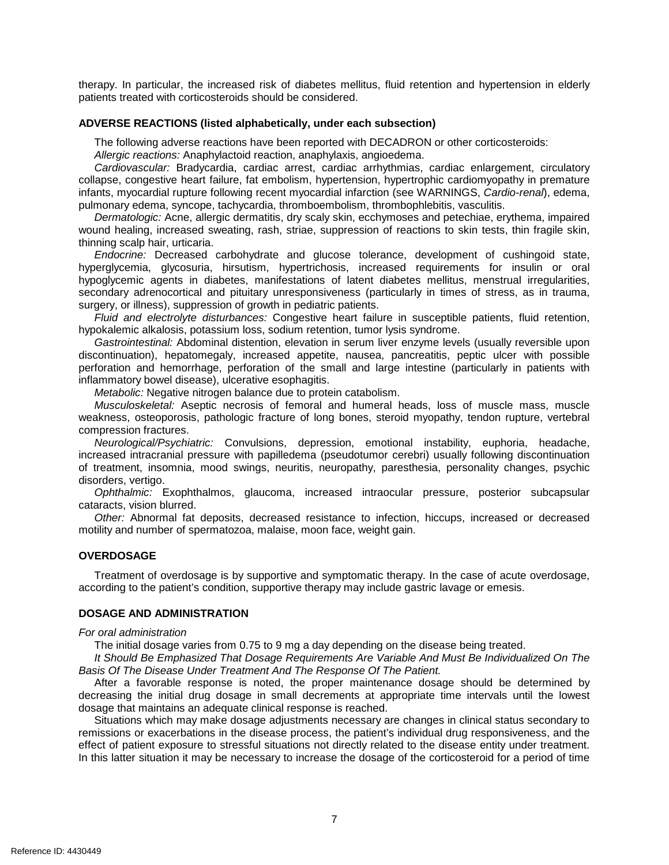therapy. In particular, the increased risk of diabetes mellitus, fluid retention and hypertension in elderly patients treated with corticosteroids should be considered.

### **ADVERSE REACTIONS (listed alphabetically, under each subsection)**

The following adverse reactions have been reported with DECADRON or other corticosteroids:

*Allergic reactions:* Anaphylactoid reaction, anaphylaxis, angioedema.

 *Cardiovascular:* Bradycardia, cardiac arrest, cardiac arrhythmias, cardiac enlargement, circulatory collapse, congestive heart failure, fat embolism, hypertension, hypertrophic cardiomyopathy in premature infants, myocardial rupture following recent myocardial infarction (see WARNINGS, *Cardio-renal*), edema, pulmonary edema, syncope, tachycardia, thromboembolism, thrombophlebitis, vasculitis.

 *Dermatologic:* Acne, allergic dermatitis, dry scaly skin, ecchymoses and petechiae, erythema, impaired wound healing, increased sweating, rash, striae, suppression of reactions to skin tests, thin fragile skin, thinning scalp hair, urticaria.

 hyperglycemia, glycosuria, hirsutism, hypertrichosis, increased requirements for insulin or oral hypoglycemic agents in diabetes, manifestations of latent diabetes mellitus, menstrual irregularities, secondary adrenocortical and pituitary unresponsiveness (particularly in times of stress, as in trauma, *Endocrine:* Decreased carbohydrate and glucose tolerance, development of cushingoid state, surgery, or illness), suppression of growth in pediatric patients.

*Fluid and electrolyte disturbances:* Congestive heart failure in susceptible patients, fluid retention, hypokalemic alkalosis, potassium loss, sodium retention, tumor lysis syndrome.

 *Gastrointestinal:* Abdominal distention, elevation in serum liver enzyme levels (usually reversible upon discontinuation), hepatomegaly, increased appetite, nausea, pancreatitis, peptic ulcer with possible perforation and hemorrhage, perforation of the small and large intestine (particularly in patients with inflammatory bowel disease), ulcerative esophagitis.

*Metabolic:* Negative nitrogen balance due to protein catabolism.

 *Musculoskeletal:* Aseptic necrosis of femoral and humeral heads, loss of muscle mass, muscle weakness, osteoporosis, pathologic fracture of long bones, steroid myopathy, tendon rupture, vertebral compression fractures.

 increased intracranial pressure with papilledema (pseudotumor cerebri) usually following discontinuation *Neurological/Psychiatric:* Convulsions, depression, emotional instability, euphoria, headache, of treatment, insomnia, mood swings, neuritis, neuropathy, paresthesia, personality changes, psychic disorders, vertigo.

*Ophthalmic:* Exophthalmos, glaucoma, increased intraocular pressure, posterior subcapsular cataracts, vision blurred.

*Other:* Abnormal fat deposits, decreased resistance to infection, hiccups, increased or decreased motility and number of spermatozoa, malaise, moon face, weight gain.

# **OVERDOSAGE**

 Treatment of overdosage is by supportive and symptomatic therapy. In the case of acute overdosage, according to the patient's condition, supportive therapy may include gastric lavage or emesis.

### **DOSAGE AND ADMINISTRATION**

### *For oral administration*

The initial dosage varies from 0.75 to 9 mg a day depending on the disease being treated.

*It Should Be Emphasized That Dosage Requirements Are Variable And Must Be Individualized On The Basis Of The Disease Under Treatment And The Response Of The Patient.* 

 After a favorable response is noted, the proper maintenance dosage should be determined by decreasing the initial drug dosage in small decrements at appropriate time intervals until the lowest dosage that maintains an adequate clinical response is reached.

 remissions or exacerbations in the disease process, the patient's individual drug responsiveness, and the effect of patient exposure to stressful situations not directly related to the disease entity under treatment. Situations which may make dosage adjustments necessary are changes in clinical status secondary to In this latter situation it may be necessary to increase the dosage of the corticosteroid for a period of time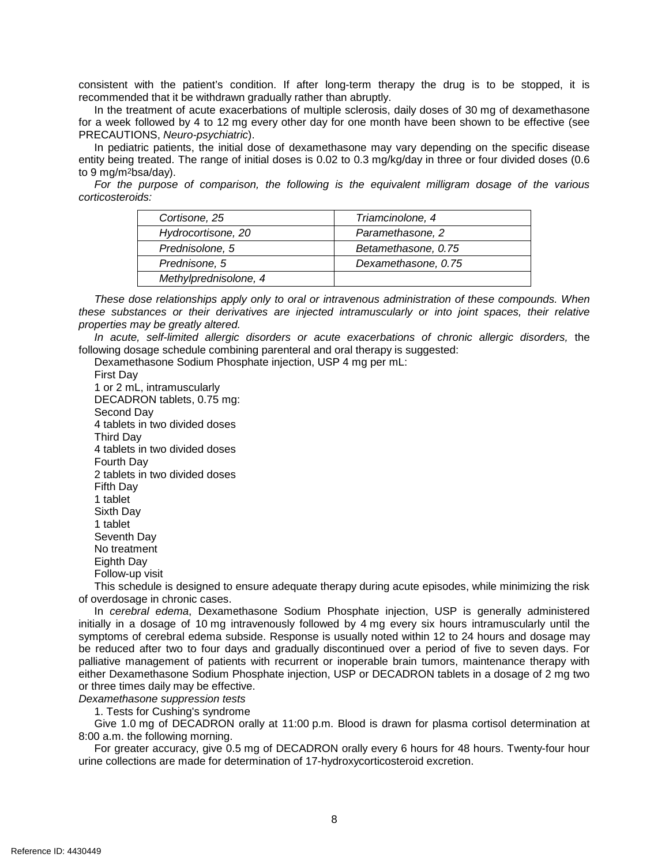consistent with the patient's condition. If after long-term therapy the drug is to be stopped, it is recommended that it be withdrawn gradually rather than abruptly.

 In the treatment of acute exacerbations of multiple sclerosis, daily doses of 30 mg of dexamethasone for a week followed by 4 to 12 mg every other day for one month have been shown to be effective (see PRECAUTIONS, *Neuro-psychiatric*).

 entity being treated. The range of initial doses is 0.02 to 0.3 mg/kg/day in three or four divided doses (0.6 In pediatric patients, the initial dose of dexamethasone may vary depending on the specific disease to 9 mg/m2bsa/day).

*For the purpose of comparison, the following is the equivalent milligram dosage of the various corticosteroids:* 

| Cortisone, 25         | Triamcinolone, 4    |
|-----------------------|---------------------|
| Hydrocortisone, 20    | Paramethasone, 2    |
| Prednisolone, 5       | Betamethasone, 0.75 |
| Prednisone, 5         | Dexamethasone, 0.75 |
| Methylprednisolone, 4 |                     |

 *These dose relationships apply only to oral or intravenous administration of these compounds. When these substances or their derivatives are injected intramuscularly or into joint spaces, their relative properties may be greatly altered.* 

 *In acute, self-limited allergic disorders or acute exacerbations of chronic allergic disorders,* the following dosage schedule combining parenteral and oral therapy is suggested:

Dexamethasone Sodium Phosphate injection, USP 4 mg per mL:

 DECADRON tablets, 0.75 mg: First Day 1 or 2 mL, intramuscularly Second Day 4 tablets in two divided doses Third Day 4 tablets in two divided doses Fourth Day 2 tablets in two divided doses Fifth Day 1 tablet Sixth Day 1 tablet Seventh Day No treatment Eighth Day Follow-up visit

This schedule is designed to ensure adequate therapy during acute episodes, while minimizing the risk of overdosage in chronic cases.

 In *cerebral edema*, Dexamethasone Sodium Phosphate injection, USP is generally administered symptoms of cerebral edema subside. Response is usually noted within 12 to 24 hours and dosage may be reduced after two to four days and gradually discontinued over a period of five to seven days. For palliative management of patients with recurrent or inoperable brain tumors, maintenance therapy with initially in a dosage of 10 mg intravenously followed by 4 mg every six hours intramuscularly until the either Dexamethasone Sodium Phosphate injection, USP or DECADRON tablets in a dosage of 2 mg two or three times daily may be effective.

*Dexamethasone suppression tests* 

1. Tests for Cushing's syndrome

Give 1.0 mg of DECADRON orally at 11:00 p.m. Blood is drawn for plasma cortisol determination at 8:00 a.m. the following morning.

 For greater accuracy, give 0.5 mg of DECADRON orally every 6 hours for 48 hours. Twenty-four hour urine collections are made for determination of 17-hydroxycorticosteroid excretion.